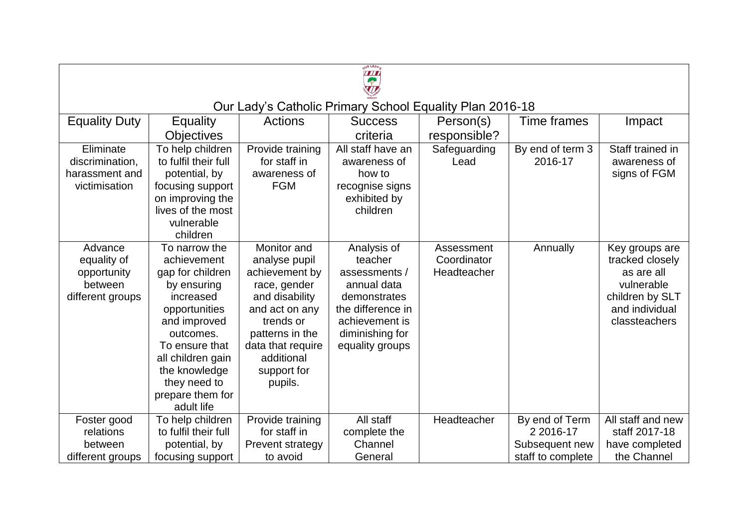| OUR LADY'S<br>學                                                      |                                                                                                                                                                                                                                      |                                                                                                                                                                                                 |                                                                                                                                                     |                                          |                                                                    |                                                                                                                     |  |  |  |  |  |
|----------------------------------------------------------------------|--------------------------------------------------------------------------------------------------------------------------------------------------------------------------------------------------------------------------------------|-------------------------------------------------------------------------------------------------------------------------------------------------------------------------------------------------|-----------------------------------------------------------------------------------------------------------------------------------------------------|------------------------------------------|--------------------------------------------------------------------|---------------------------------------------------------------------------------------------------------------------|--|--|--|--|--|
| Our Lady's Catholic Primary School Equality Plan 2016-18             |                                                                                                                                                                                                                                      |                                                                                                                                                                                                 |                                                                                                                                                     |                                          |                                                                    |                                                                                                                     |  |  |  |  |  |
| <b>Equality Duty</b>                                                 | <b>Equality</b>                                                                                                                                                                                                                      | Actions                                                                                                                                                                                         | <b>Success</b>                                                                                                                                      | Person(s)                                | Time frames                                                        | Impact                                                                                                              |  |  |  |  |  |
|                                                                      | <b>Objectives</b>                                                                                                                                                                                                                    |                                                                                                                                                                                                 | criteria                                                                                                                                            | responsible?                             |                                                                    |                                                                                                                     |  |  |  |  |  |
| Eliminate<br>discrimination,<br>harassment and<br>victimisation      | To help children<br>to fulfil their full<br>potential, by<br>focusing support<br>on improving the<br>lives of the most<br>vulnerable<br>children                                                                                     | Provide training<br>for staff in<br>awareness of<br><b>FGM</b>                                                                                                                                  | All staff have an<br>awareness of<br>how to<br>recognise signs<br>exhibited by<br>children                                                          | Safeguarding<br>Lead                     | By end of term 3<br>2016-17                                        | Staff trained in<br>awareness of<br>signs of FGM                                                                    |  |  |  |  |  |
| Advance<br>equality of<br>opportunity<br>between<br>different groups | To narrow the<br>achievement<br>gap for children<br>by ensuring<br>increased<br>opportunities<br>and improved<br>outcomes.<br>To ensure that<br>all children gain<br>the knowledge<br>they need to<br>prepare them for<br>adult life | Monitor and<br>analyse pupil<br>achievement by<br>race, gender<br>and disability<br>and act on any<br>trends or<br>patterns in the<br>data that require<br>additional<br>support for<br>pupils. | Analysis of<br>teacher<br>assessments /<br>annual data<br>demonstrates<br>the difference in<br>achievement is<br>diminishing for<br>equality groups | Assessment<br>Coordinator<br>Headteacher | Annually                                                           | Key groups are<br>tracked closely<br>as are all<br>vulnerable<br>children by SLT<br>and individual<br>classteachers |  |  |  |  |  |
| Foster good<br>relations<br>between<br>different groups              | To help children<br>to fulfil their full<br>potential, by<br>focusing support                                                                                                                                                        | Provide training<br>for staff in<br>Prevent strategy<br>to avoid                                                                                                                                | All staff<br>complete the<br>Channel<br>General                                                                                                     | Headteacher                              | By end of Term<br>2 2016-17<br>Subsequent new<br>staff to complete | All staff and new<br>staff 2017-18<br>have completed<br>the Channel                                                 |  |  |  |  |  |